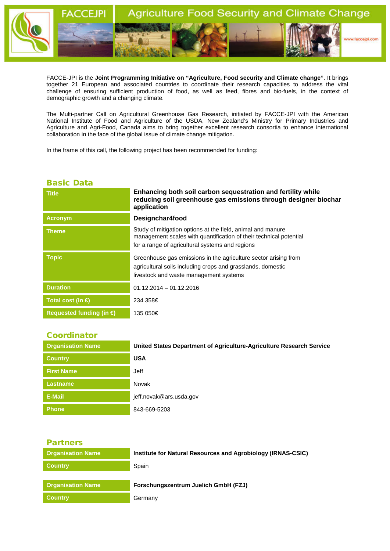

FACCE-JPI is the **Joint Programming Initiative on "Agriculture, Food security and Climate change"**. It brings together 21 European and associated countries to coordinate their research capacities to address the vital challenge of ensuring sufficient production of food, as well as feed, fibres and bio-fuels, in the context of demographic growth and a changing climate.

The Multi-partner Call on Agricultural Greenhouse Gas Research, initiated by FACCE-JPI with the American National Institute of Food and Agriculture of the USDA, New Zealand's Ministry for Primary Industries and Agriculture and Agri-Food, Canada aims to bring together excellent research consortia to enhance international collaboration in the face of the global issue of climate change mitigation.

In the frame of this call, the following project has been recommended for funding:

## Basic Data

| <b>Title</b>                      | Enhancing both soil carbon sequestration and fertility while<br>reducing soil greenhouse gas emissions through designer biochar<br>application                                       |  |
|-----------------------------------|--------------------------------------------------------------------------------------------------------------------------------------------------------------------------------------|--|
| <b>Acronym</b>                    | Designchar4food                                                                                                                                                                      |  |
| <b>Theme</b>                      | Study of mitigation options at the field, animal and manure<br>management scales with quantification of their technical potential<br>for a range of agricultural systems and regions |  |
| <b>Topic</b>                      | Greenhouse gas emissions in the agriculture sector arising from<br>agricultural soils including crops and grasslands, domestic<br>livestock and waste management systems             |  |
| <b>Duration</b>                   | $01.12.2014 - 01.12.2016$                                                                                                                                                            |  |
| Total cost (in $\bigoplus$        | 234 358€                                                                                                                                                                             |  |
| Requested funding (in $\bigoplus$ | 135 050€                                                                                                                                                                             |  |

## **Coordinator**

| <b>Organisation Name</b> | United States Department of Agriculture-Agriculture Research Service |
|--------------------------|----------------------------------------------------------------------|
| <b>Country</b>           | <b>USA</b>                                                           |
| <b>First Name</b>        | Jeff                                                                 |
| <b>Lastname</b>          | Novak                                                                |
| E-Mail                   | jeff.novak@ars.usda.gov                                              |
| <b>Phone</b>             | 843-669-5203                                                         |

| v | _ | . .<br>. .<br>۰. |  |
|---|---|------------------|--|
|   |   |                  |  |

| <b>Organisation Name</b> | Institute for Natural Resources and Agrobiology (IRNAS-CSIC) |
|--------------------------|--------------------------------------------------------------|
| <b>Country</b>           | Spain                                                        |
|                          |                                                              |
| <b>Organisation Name</b> | Forschungszentrum Juelich GmbH (FZJ)                         |
| <b>Country</b>           | Germany                                                      |